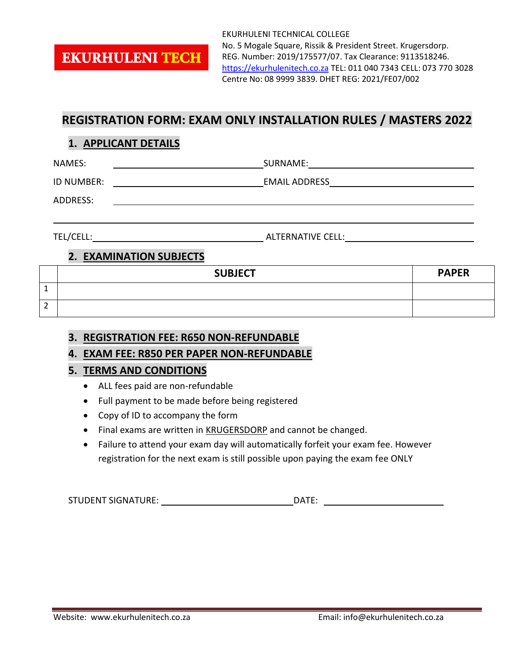**EKURHULENI TECH** 

EKURHULENI TECHNICAL COLLEGE No. 5 Mogale Square, Rissik & President Street. Krugersdorp. REG. Number: 2019/175577/07. Tax Clearance: 9113518246. [https://ekurhulenitech.co.za](https://ekurhulenitech.co.za/) TEL: 011 040 7343 CELL: 073 770 3028 Centre No: 08 9999 3839. DHET REG: 2021/FE07/002

# **REGISTRATION FORM: EXAM ONLY INSTALLATION RULES / MASTERS 2022**

### **1. APPLICANT DETAILS**

NAMES: SURNAME:

ID NUMBER: EMAIL ADDRESS

ADDRESS:

TEL/CELL: ALTERNATIVE CELL:

## **2. EXAMINATION SUBJECTS**

|                               | <b>SUBJECT</b> | <b>PAPER</b> |
|-------------------------------|----------------|--------------|
| <b>.</b>                      |                |              |
| $\overline{\phantom{0}}$<br>∠ |                |              |

#### **3. REGISTRATION FEE: R650 NON-REFUNDABLE**

#### **4. EXAM FEE: R850 PER PAPER NON-REFUNDABLE**

#### **5. TERMS AND CONDITIONS**

- ALL fees paid are non-refundable
- Full payment to be made before being registered
- Copy of ID to accompany the form
- Final exams are written in **KRUGERSDORP** and cannot be changed.
- Failure to attend your exam day will automatically forfeit your exam fee. However registration for the next exam is still possible upon paying the exam fee ONLY

STUDENT SIGNATURE: DATE: DATE: